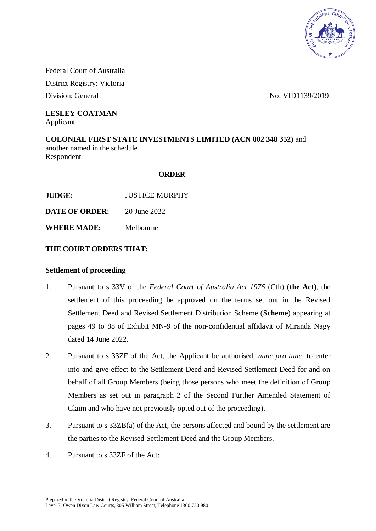

Federal Court of Australia District Registry: Victoria

Division: General No: VID1139/2019

#### **LESLEY COATMAN** Applicant

**COLONIAL FIRST STATE INVESTMENTS LIMITED (ACN 002 348 352)** and another named in the schedule Respondent

## **ORDER**

**JUDGE:** JUSTICE MURPHY

**DATE OF ORDER:** 20 June 2022

**WHERE MADE:** Melbourne

## **THE COURT ORDERS THAT:**

## **Settlement of proceeding**

- 1. Pursuant to s 33V of the *Federal Court of Australia Act 1976* (Cth) (**the Act**), the settlement of this proceeding be approved on the terms set out in the Revised Settlement Deed and Revised Settlement Distribution Scheme (**Scheme**) appearing at pages 49 to 88 of Exhibit MN-9 of the non-confidential affidavit of Miranda Nagy dated 14 June 2022.
- 2. Pursuant to s 33ZF of the Act, the Applicant be authorised, *nunc pro tunc*, to enter into and give effect to the Settlement Deed and Revised Settlement Deed for and on behalf of all Group Members (being those persons who meet the definition of Group Members as set out in paragraph 2 of the Second Further Amended Statement of Claim and who have not previously opted out of the proceeding).
- 3. Pursuant to s 33ZB(a) of the Act, the persons affected and bound by the settlement are the parties to the Revised Settlement Deed and the Group Members.
- 4. Pursuant to s 33ZF of the Act: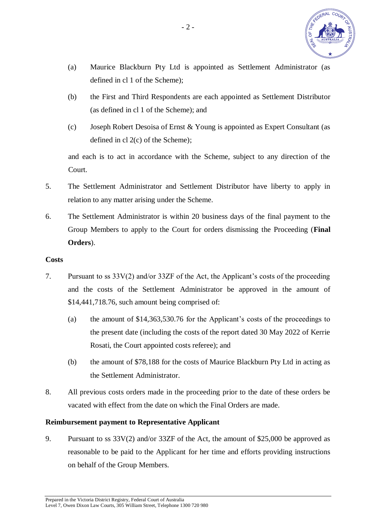

- (a) Maurice Blackburn Pty Ltd is appointed as Settlement Administrator (as defined in cl 1 of the Scheme);
- (b) the First and Third Respondents are each appointed as Settlement Distributor (as defined in cl 1 of the Scheme); and
- (c) Joseph Robert Desoisa of Ernst & Young is appointed as Expert Consultant (as defined in cl 2(c) of the Scheme);

and each is to act in accordance with the Scheme, subject to any direction of the Court.

- 5. The Settlement Administrator and Settlement Distributor have liberty to apply in relation to any matter arising under the Scheme.
- 6. The Settlement Administrator is within 20 business days of the final payment to the Group Members to apply to the Court for orders dismissing the Proceeding (**Final Orders**).

### **Costs**

- 7. Pursuant to ss 33V(2) and/or 33ZF of the Act, the Applicant's costs of the proceeding and the costs of the Settlement Administrator be approved in the amount of \$14,441,718.76, such amount being comprised of:
	- (a) the amount of \$14,363,530.76 for the Applicant's costs of the proceedings to the present date (including the costs of the report dated 30 May 2022 of Kerrie Rosati, the Court appointed costs referee); and
	- (b) the amount of \$78,188 for the costs of Maurice Blackburn Pty Ltd in acting as the Settlement Administrator.
- 8. All previous costs orders made in the proceeding prior to the date of these orders be vacated with effect from the date on which the Final Orders are made.

## **Reimbursement payment to Representative Applicant**

9. Pursuant to ss 33V(2) and/or 33ZF of the Act, the amount of \$25,000 be approved as reasonable to be paid to the Applicant for her time and efforts providing instructions on behalf of the Group Members.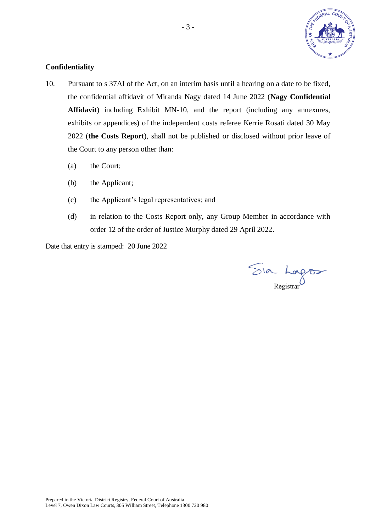

## **Confidentiality**

- 10. Pursuant to s 37AI of the Act, on an interim basis until a hearing on a date to be fixed, the confidential affidavit of Miranda Nagy dated 14 June 2022 (**Nagy Confidential Affidavit**) including Exhibit MN-10, and the report (including any annexures, exhibits or appendices) of the independent costs referee Kerrie Rosati dated 30 May 2022 (**the Costs Report**), shall not be published or disclosed without prior leave of the Court to any person other than:
	- (a) the Court;
	- (b) the Applicant;
	- (c) the Applicant's legal representatives; and
	- (d) in relation to the Costs Report only, any Group Member in accordance with order 12 of the order of Justice Murphy dated 29 April 2022.

Date that entry is stamped: 20 June 2022

Sia Longos

Prepared in the Victoria District Registry, Federal Court of Australia Level 7, Owen Dixon Law Courts, 305 William Street, Telephone 1300 720 980